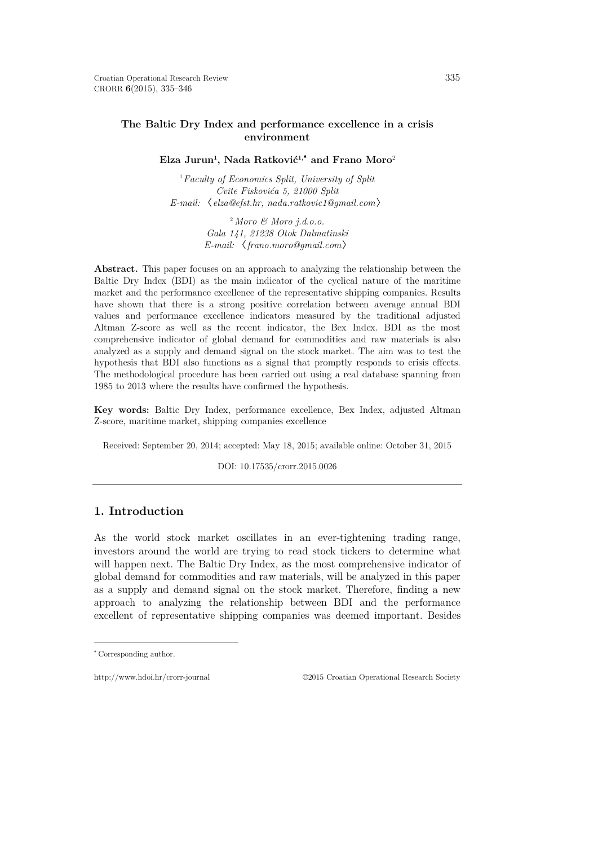# **The Baltic Dry Index and performance excellence in a crisis environment**

## **Elza Jurun1 , Nada Ratković1,**[∗](#page-0-0) **and Frano Moro**<sup>2</sup>

<sup>1</sup>*Faculty of Economics Split, University of Split Cvite Fiskovića 5, 21000 Split E-mail:* 〈*elza@efst.hr, nada.ratkovic1@gmail.com*〉

> <sup>2</sup>*Moro & Moro j.d.o.o. Gala 141, 21238 Otok Dalmatinski E-mail:* 〈*frano.moro@gmail.com*〉

**Abstract.** This paper focuses on an approach to analyzing the relationship between the Baltic Dry Index (BDI) as the main indicator of the cyclical nature of the maritime market and the performance excellence of the representative shipping companies. Results have shown that there is a strong positive correlation between average annual BDI values and performance excellence indicators measured by the traditional adjusted Altman Z-score as well as the recent indicator, the Bex Index. BDI as the most comprehensive indicator of global demand for commodities and raw materials is also analyzed as a supply and demand signal on the stock market. The aim was to test the hypothesis that BDI also functions as a signal that promptly responds to crisis effects. The methodological procedure has been carried out using a real database spanning from 1985 to 2013 where the results have confirmed the hypothesis.

**Key words:** Baltic Dry Index, performance excellence, Bex Index, adjusted Altman Z-score, maritime market, shipping companies excellence

Received: September 20, 2014; accepted: May 18, 2015; available online: October 31, 2015

DOI: 10.17535/crorr.2015.0026

# **1. Introduction**

As the world stock market oscillates in an ever-tightening trading range, investors around the world are trying to read stock tickers to determine what will happen next. The Baltic Dry Index, as the most comprehensive indicator of global demand for commodities and raw materials, will be analyzed in this paper as a supply and demand signal on the stock market. Therefore, finding a new approach to analyzing the relationship between BDI and the performance excellent of representative shipping companies was deemed important. Besides

 $\overline{a}$ 

http://www.hdoi.hr/crorr-journal ©2015 Croatian Operational Research Society

<span id="page-0-0"></span><sup>∗</sup> Corresponding author.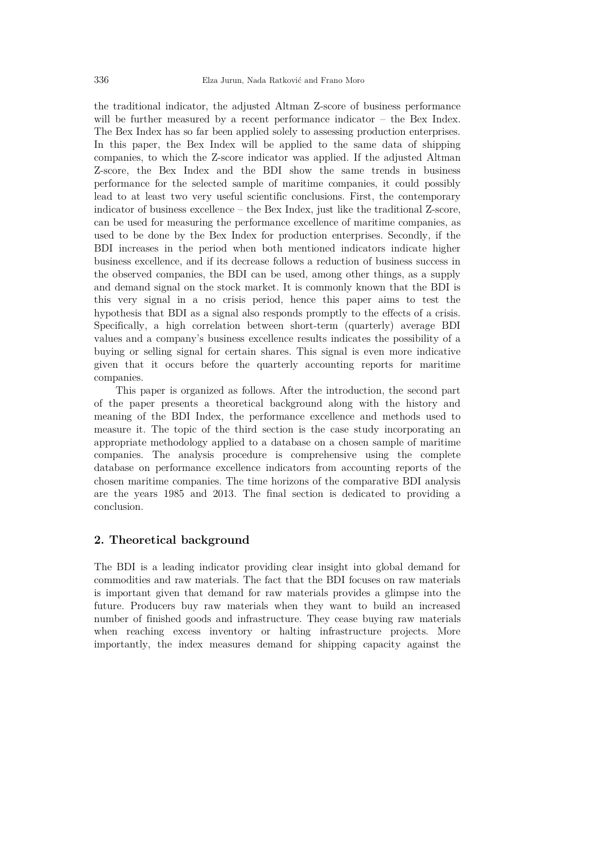the traditional indicator, the adjusted Altman Z-score of business performance will be further measured by a recent performance indicator – the Bex Index. The Bex Index has so far been applied solely to assessing production enterprises. In this paper, the Bex Index will be applied to the same data of shipping companies, to which the Z-score indicator was applied. If the adjusted Altman Z-score, the Bex Index and the BDI show the same trends in business performance for the selected sample of maritime companies, it could possibly lead to at least two very useful scientific conclusions. First, the contemporary indicator of business excellence – the Bex Index, just like the traditional Z-score, can be used for measuring the performance excellence of maritime companies, as used to be done by the Bex Index for production enterprises. Secondly, if the BDI increases in the period when both mentioned indicators indicate higher business excellence, and if its decrease follows a reduction of business success in the observed companies, the BDI can be used, among other things, as a supply and demand signal on the stock market. It is commonly known that the BDI is this very signal in a no crisis period, hence this paper aims to test the hypothesis that BDI as a signal also responds promptly to the effects of a crisis. Specifically, a high correlation between short-term (quarterly) average BDI values and a company's business excellence results indicates the possibility of a buying or selling signal for certain shares. This signal is even more indicative given that it occurs before the quarterly accounting reports for maritime companies.

This paper is organized as follows. After the introduction, the second part of the paper presents a theoretical background along with the history and meaning of the BDI Index, the performance excellence and methods used to measure it. The topic of the third section is the case study incorporating an appropriate methodology applied to a database on a chosen sample of maritime companies. The analysis procedure is comprehensive using the complete database on performance excellence indicators from accounting reports of the chosen maritime companies. The time horizons of the comparative BDI analysis are the years 1985 and 2013. The final section is dedicated to providing a conclusion.

### **2. Theoretical background**

The BDI is a leading indicator providing clear insight into global demand for commodities and raw materials. The fact that the BDI focuses on raw materials is important given that demand for raw materials provides a glimpse into the future. Producers buy raw materials when they want to build an increased number of finished goods and infrastructure. They cease buying raw materials when reaching excess inventory or halting infrastructure projects. More importantly, the index measures demand for shipping capacity against the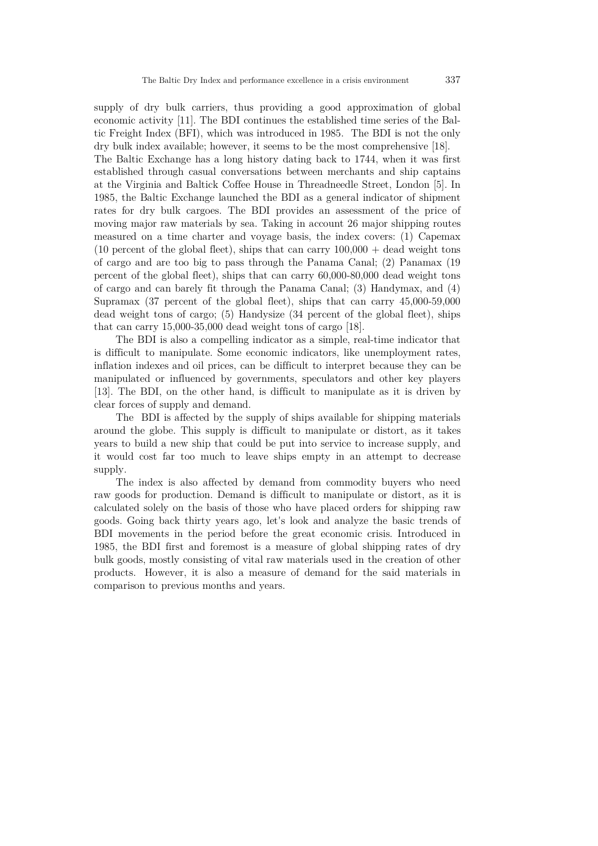supply of dry bulk carriers, thus providing a good approximation of global economic activity [11]. The BDI continues the established time series of the Baltic Freight Index (BFI), which was introduced in 1985. The BDI is not the only dry bulk index available; however, it seems to be the most comprehensive [18].

The Baltic Exchange has a long history dating back to 1744, when it was first established through casual conversations between merchants and ship captains at the Virginia and Baltick Coffee House in Threadneedle Street, London [5]. In 1985, the Baltic Exchange launched the BDI as a general indicator of shipment rates for dry bulk cargoes. The BDI provides an assessment of the price of moving major raw materials by sea. Taking in account 26 major shipping routes measured on a time charter and voyage basis, the index covers: (1) Capemax  $(10$  percent of the global fleet), ships that can carry  $100,000 +$  dead weight tons of cargo and are too big to pass through the Panama Canal; (2) Panamax (19 percent of the global fleet), ships that can carry 60,000-80,000 dead weight tons of cargo and can barely fit through the Panama Canal; (3) Handymax, and (4) Supramax (37 percent of the global fleet), ships that can carry 45,000-59,000 dead weight tons of cargo; (5) Handysize (34 percent of the global fleet), ships that can carry 15,000-35,000 dead weight tons of cargo [18].

The BDI is also a compelling indicator as a simple, real-time indicator that is difficult to manipulate. Some economic indicators, like unemployment rates, inflation indexes and oil prices, can be difficult to interpret because they can be manipulated or influenced by governments, speculators and other key players [13]. The BDI, on the other hand, is difficult to manipulate as it is driven by clear forces of supply and demand.

The BDI is affected by the supply of ships available for shipping materials around the globe. This supply is difficult to manipulate or distort, as it takes years to build a new ship that could be put into service to increase supply, and it would cost far too much to leave ships empty in an attempt to decrease supply.

The index is also affected by demand from commodity buyers who need raw goods for production. Demand is difficult to manipulate or distort, as it is calculated solely on the basis of those who have placed orders for shipping raw goods. Going back thirty years ago, let's look and analyze the basic trends of BDI movements in the period before the great economic crisis. Introduced in 1985, the BDI first and foremost is a measure of global shipping rates of dry bulk goods, mostly consisting of vital raw materials used in the creation of other products. However, it is also a measure of demand for the said materials in comparison to previous months and years.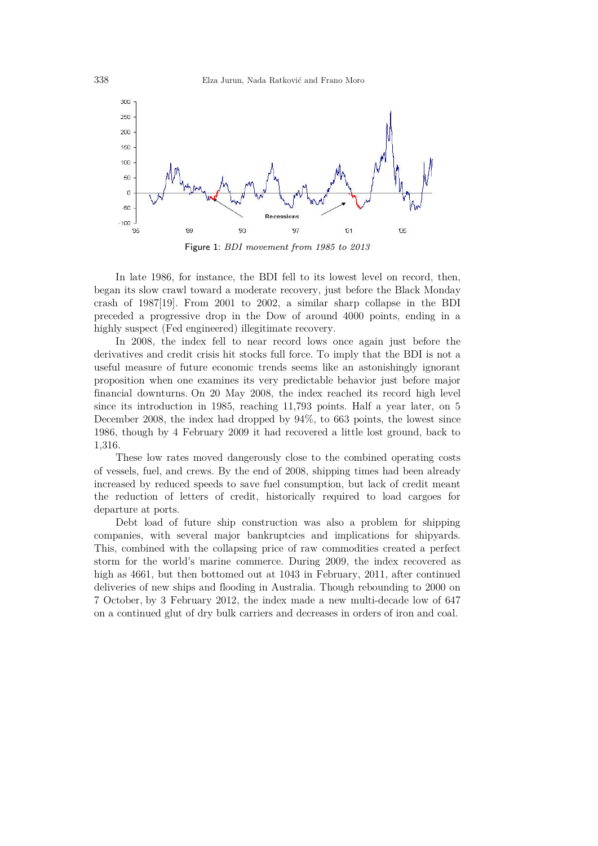

Figure 1: BDI movement from 1985 to 2013

In late 1986, for instance, the BDI fell to its lowest level on record, then, began its slow crawl toward a moderate recovery, just before the Black Monday crash of 1987[19]. From 2001 to 2002, a similar sharp collapse in the BDI preceded a progressive drop in the Dow of around 4000 points, ending in a highly suspect (Fed engineered) illegitimate recovery.

In 2008, the index fell to near record lows once again just before the derivatives and credit crisis hit stocks full force. To imply that the BDI is not a useful measure of future economic trends seems like an astonishingly ignorant proposition when one examines its very predictable behavior just before major financial downturns. On 20 May 2008, the index reached its record high level since its introduction in 1985, reaching 11,793 points. Half a year later, on 5 December 2008, the index had dropped by 94%, to 663 points, the lowest since 1986, though by 4 February 2009 it had recovered a little lost ground, back to 1,316.

These low rates moved dangerously close to the combined operating costs of vessels, fuel, and crews. By the end of 2008, shipping times had been already increased by reduced speeds to save fuel consumption, but lack of credit meant the reduction of letters of credit, historically required to load cargoes for departure at ports.

Debt load of future ship construction was also a problem for shipping companies, with several major bankruptcies and implications for shipyards. This, combined with the collapsing price of raw commodities created a perfect storm for the world's marine commerce. During 2009, the index recovered as high as 4661, but then bottomed out at 1043 in February, 2011, after continued deliveries of new ships and flooding in Australia. Though rebounding to 2000 on 7 October, by 3 February 2012, the index made a new multi-decade low of 647 on a continued glut of dry bulk carriers and decreases in orders of iron and coal.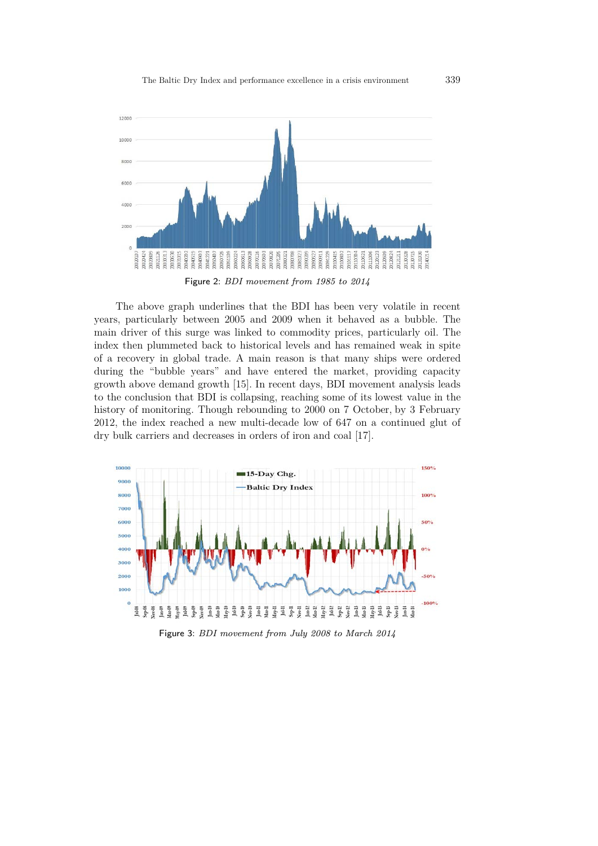

Figure 2: BDI movement from 1985 to 2014

The above graph underlines that the BDI has been very volatile in recent years, particularly between 2005 and 2009 when it behaved as a bubble. The main driver of this surge was linked to commodity prices, particularly oil. The index then plummeted back to historical levels and has remained weak in spite of a recovery in global trade. A main reason is that many ships were ordered during the "bubble years" and have entered the market, providing capacity growth above demand growth [15]. In recent days, BDI movement analysis leads to the conclusion that BDI is collapsing, reaching some of its lowest value in the history of monitoring. Though rebounding to 2000 on 7 October, by 3 February 2012, the index reached a new multi-decade low of 647 on a continued glut of dry bulk carriers and decreases in orders of iron and coal [17].



Figure 3: BDI movement from July 2008 to March 2014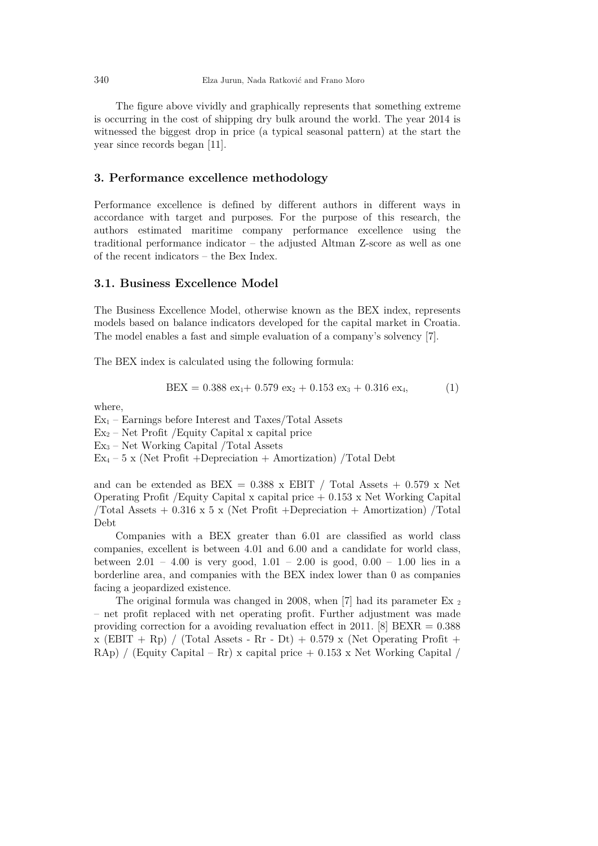The figure above vividly and graphically represents that something extreme is occurring in the cost of shipping dry bulk around the world. The year 2014 is witnessed the biggest drop in price (a typical seasonal pattern) at the start the year since records began [11].

### **3. Performance excellence methodology**

Performance excellence is defined by different authors in different ways in accordance with target and purposes. For the purpose of this research, the authors estimated maritime company performance excellence using the traditional performance indicator – the adjusted Altman Z-score as well as one of the recent indicators – the Bex Index.

#### **3.1. Business Excellence Model**

The Business Excellence Model, otherwise known as the BEX index, represents models based on balance indicators developed for the capital market in Croatia. The model enables a fast and simple evaluation of a company's solvency [7].

The BEX index is calculated using the following formula:

$$
BEX = 0.388 \, \text{ex}_1 + 0.579 \, \text{ex}_2 + 0.153 \, \text{ex}_3 + 0.316 \, \text{ex}_4,\tag{1}
$$

where,

 $Ex_1$  – Earnings before Interest and Taxes/Total Assets

 $Ex_2$  – Net Profit /Equity Capital x capital price

 $Ex_3$  – Net Working Capital /Total Assets

 $Ex_4 - 5$  x (Net Profit +Depreciation + Amortization) /Total Debt

and can be extended as  $BEX = 0.388$  x  $EBIT / Total Assets + 0.579$  x Net Operating Profit /Equity Capital x capital price  $+0.153 \times$  Net Working Capital /Total Assets  $+$  0.316 x 5 x (Net Profit +Depreciation + Amortization) /Total Debt

Companies with a BEX greater than 6.01 are classified as world class companies, excellent is between 4.01 and 6.00 and a candidate for world class, between  $2.01 - 4.00$  is very good,  $1.01 - 2.00$  is good,  $0.00 - 1.00$  lies in a borderline area, and companies with the BEX index lower than 0 as companies facing a jeopardized existence.

The original formula was changed in 2008, when [7] had its parameter  $Ex_2$ – net profit replaced with net operating profit. Further adjustment was made providing correction for a avoiding revaluation effect in 2011. [8] BEXR  $= 0.388$ x (EBIT + Rp) / (Total Assets - Rr - Dt) +  $0.579$  x (Net Operating Profit +  $RAp$ ) / (Equity Capital – Rr) x capital price  $+$  0.153 x Net Working Capital /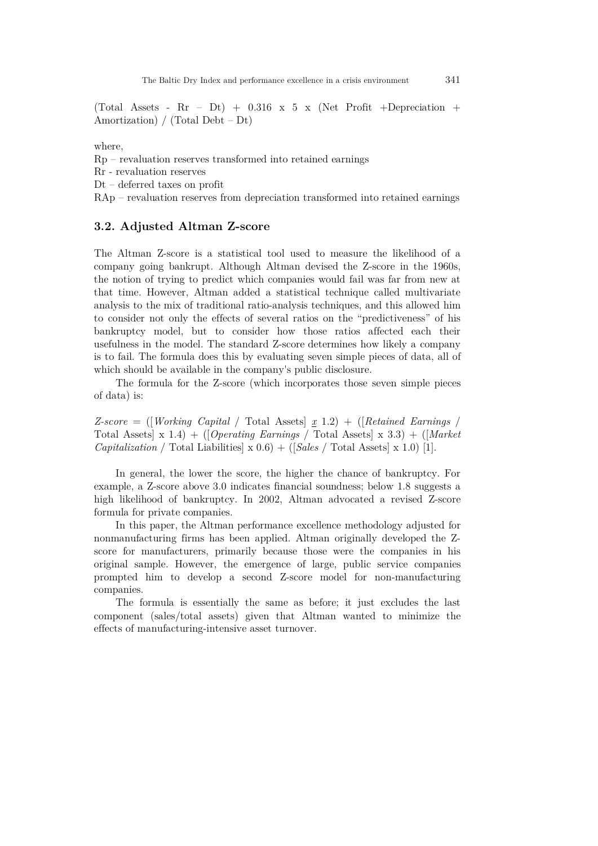(Total Assets - Rr – Dt) + 0.316 x 5 x (Net Profit +Depreciation + Amortization) / (Total Debt – Dt)

where,

Rp – revaluation reserves transformed into retained earnings Rr - revaluation reserves Dt – deferred taxes on profit RAp – revaluation reserves from depreciation transformed into retained earnings

## **3.2. Adjusted Altman Z-score**

The Altman Z-score is a statistical tool used to measure the likelihood of a company going bankrupt. Although Altman devised the Z-score in the 1960s, the notion of trying to predict which companies would fail was far from new at that time. However, Altman added a statistical technique called multivariate analysis to the mix of traditional ratio-analysis techniques, and this allowed him to consider not only the effects of several ratios on the "predictiveness" of his bankruptcy model, but to consider how those ratios affected each their usefulness in the model. The standard Z-score determines how likely a company is to fail. The formula does this by evaluating seven simple pieces of data, all of which should be available in the company's public disclosure.

The formula for the Z-score (which incorporates those seven simple pieces of data) is:

*Z-score* = ([*Working Capital* / Total Assets] *[x](http://www.investinganswers.com/financial-dictionary/stock-market/x-6392)* 1.2) + ([*Retained Earnings* / Total Assets] x 1.4) + ([*Operating Earnings* / Total Assets] x 3.3) + ([*Market Capitalization* / Total Liabilities]  $x(0.6) + (Sales / Total Assets] x(1.0)$  [1].

In general, the lower the score, the higher the chance of bankruptcy. For example, a Z-score above 3.0 indicates financial soundness; below 1.8 suggests a high likelihood of bankruptcy. In 2002, Altman advocated a revised Z-score formula for private companies.

In this paper, the Altman performance excellence methodology adjusted for nonmanufacturing firms has been applied. Altman originally developed the Zscore for manufacturers, primarily because those were the companies in his original sample. However, the emergence of large, public service companies prompted him to develop a second Z-score model for non-manufacturing companies.

The formula is essentially the same as before; it just excludes the last component (sales/total assets) given that Altman wanted to minimize the effects of manufacturing-intensive asset turnover.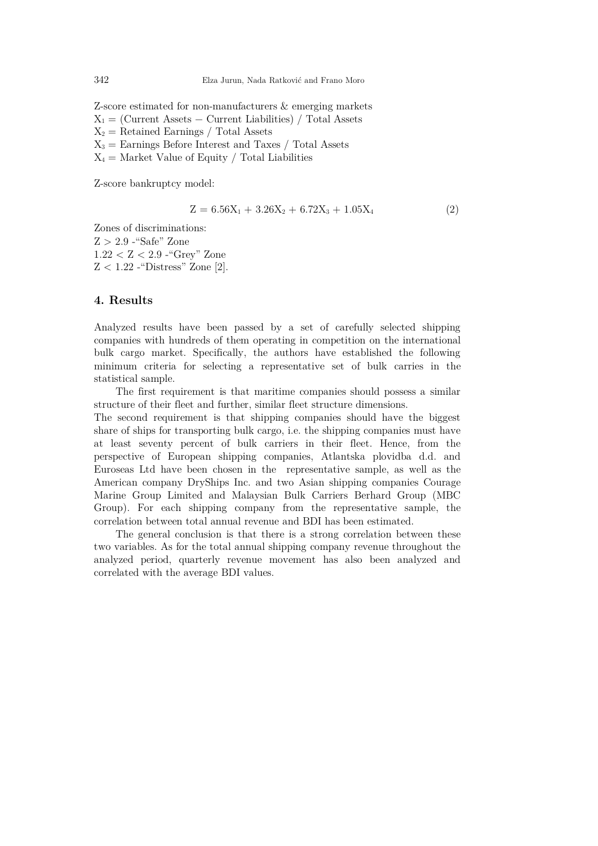Z-score estimated for non-manufacturers & emerging markets  $X_1 =$  (Current Assets – Current Liabilities) / Total Assets  $X_2$  = Retained Earnings / Total Assets  $X_3$  = Earnings Before Interest and Taxes / Total Assets  $X_4 =$  Market Value of Equity / Total Liabilities

Z-score bankruptcy model:

$$
Z = 6.56X_1 + 3.26X_2 + 6.72X_3 + 1.05X_4
$$
 (2)

Zones of discriminations:  $Z > 2.9$  -"Safe" Zone  $1.22 < Z < 2.9$  -"Grey" Zone  $Z < 1.22$  -"Distress" Zone [2].

#### **4. Results**

Analyzed results have been passed by a set of carefully selected shipping companies with hundreds of them operating in competition on the international bulk cargo market. Specifically, the authors have established the following minimum criteria for selecting a representative set of bulk carries in the statistical sample.

The first requirement is that maritime companies should possess a similar structure of their fleet and further, similar fleet structure dimensions.

The second requirement is that shipping companies should have the biggest share of ships for transporting bulk cargo, i.e. the shipping companies must have at least seventy percent of bulk carriers in their fleet. Hence, from the perspective of European shipping companies, Atlantska plovidba d.d. and Euroseas Ltd have been chosen in the representative sample, as well as the American company DryShips Inc. and two Asian shipping companies Courage Marine Group Limited and Malaysian Bulk Carriers Berhard Group (MBC Group). For each shipping company from the representative sample, the correlation between total annual revenue and BDI has been estimated.

The general conclusion is that there is a strong correlation between these two variables. As for the total annual shipping company revenue throughout the analyzed period, quarterly revenue movement has also been analyzed and correlated with the average BDI values.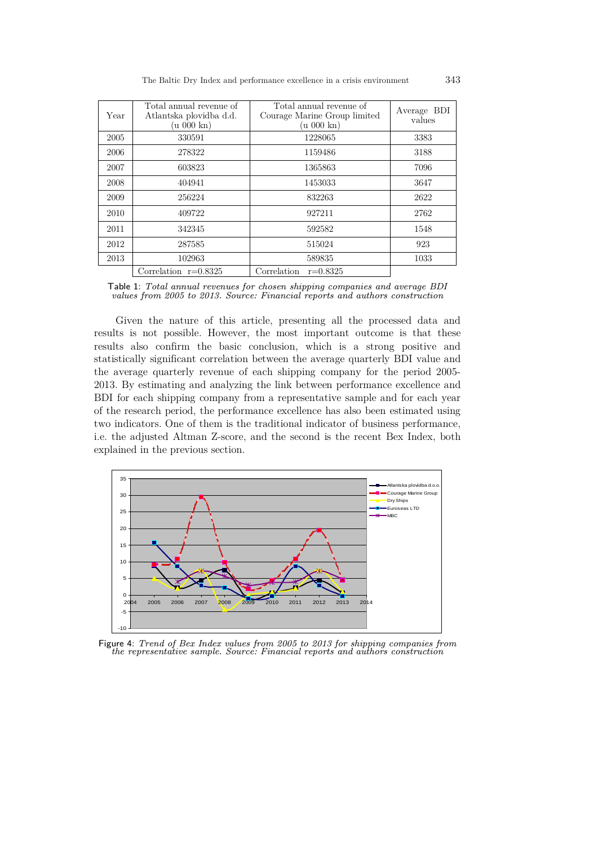| Year | Total annual revenue of<br>Atlantska plovidba d.d.<br>(u 000 kn) | Total annual revenue of<br>Courage Marine Group limited<br>(u 000 kn) | Average BDI<br>values |
|------|------------------------------------------------------------------|-----------------------------------------------------------------------|-----------------------|
| 2005 | 330591                                                           | 1228065                                                               | 3383                  |
| 2006 | 278322                                                           | 1159486                                                               | 3188                  |
| 2007 | 603823                                                           | 1365863                                                               | 7096                  |
| 2008 | 404941                                                           | 1453033                                                               | 3647                  |
| 2009 | 256224                                                           | 832263                                                                | 2622                  |
| 2010 | 409722                                                           | 927211                                                                | 2762                  |
| 2011 | 342345                                                           | 592582                                                                | 1548                  |
| 2012 | 287585                                                           | 515024                                                                | 923                   |
| 2013 | 102963                                                           | 589835                                                                | 1033                  |
|      | Correlation $r=0.8325$                                           | Correlation<br>$r = 0.8325$                                           |                       |

Table 1: Total annual revenues for chosen shipping companies and average BDI values from 2005 to 2013. Source: Financial reports and authors construction

Given the nature of this article, presenting all the processed data and results is not possible. However, the most important outcome is that these results also confirm the basic conclusion, which is a strong positive and statistically significant correlation between the average quarterly BDI value and the average quarterly revenue of each shipping company for the period 2005- 2013. By estimating and analyzing the link between performance excellence and BDI for each shipping company from a representative sample and for each year of the research period, the performance excellence has also been estimated using two indicators. One of them is the traditional indicator of business performance, i.e. the adjusted Altman Z-score, and the second is the recent Bex Index, both explained in the previous section.



Figure 4: Trend of Bex Index values from 2005 to 2013 for shipping companies from the representative sample. Source: Financial reports and authors construction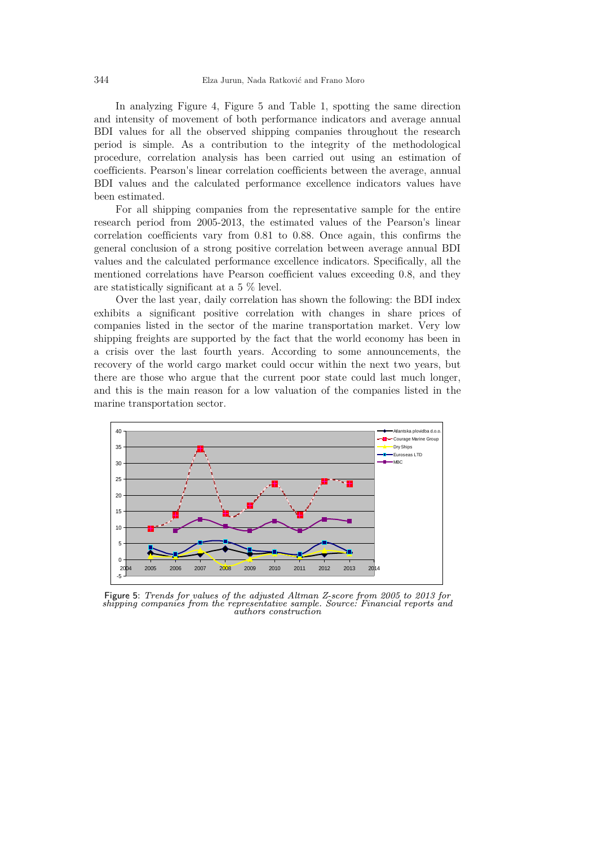In analyzing Figure 4, Figure 5 and Table 1, spotting the same direction and intensity of movement of both performance indicators and average annual BDI values for all the observed shipping companies throughout the research period is simple. As a contribution to the integrity of the methodological procedure, correlation analysis has been carried out using an estimation of coefficients. Pearson's linear correlation coefficients between the average, annual BDI values and the calculated performance excellence indicators values have been estimated.

For all shipping companies from the representative sample for the entire research period from 2005-2013, the estimated values of the Pearson's linear correlation coefficients vary from 0.81 to 0.88. Once again, this confirms the general conclusion of a strong positive correlation between average annual BDI values and the calculated performance excellence indicators. Specifically, all the mentioned correlations have Pearson coefficient values exceeding 0.8, and they are statistically significant at a 5 % level.

Over the last year, daily correlation has shown the following: the BDI index exhibits a significant positive correlation with changes in share prices of companies listed in the sector of the marine transportation market. Very low shipping freights are supported by the fact that the world economy has been in a crisis over the last fourth years. According to some announcements, the recovery of the world cargo market could occur within the next two years, but there are those who argue that the current poor state could last much longer, and this is the main reason for a low valuation of the companies listed in the marine transportation sector.



Figure 5: Trends for values of the adjusted Altman Z-score from 2005 to 2013 for shipping companies from the representative sample. Source: Financial reports and authors construction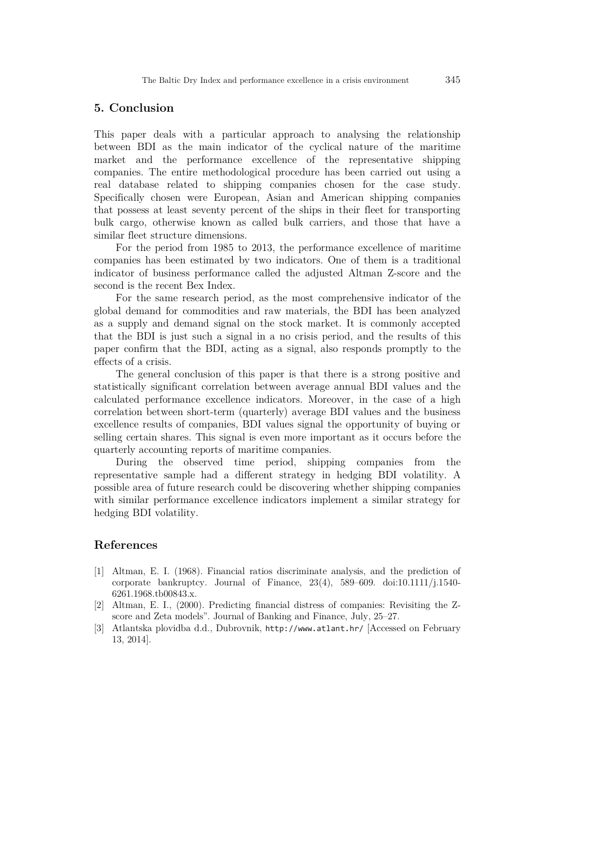#### **5. Conclusion**

This paper deals with a particular approach to analysing the relationship between BDI as the main indicator of the cyclical nature of the maritime market and the performance excellence of the representative shipping companies. The entire methodological procedure has been carried out using a real database related to shipping companies chosen for the case study. Specifically chosen were European, Asian and American shipping companies that possess at least seventy percent of the ships in their fleet for transporting bulk cargo, otherwise known as called bulk carriers, and those that have a similar fleet structure dimensions.

For the period from 1985 to 2013, the performance excellence of maritime companies has been estimated by two indicators. One of them is a traditional indicator of business performance called the adjusted Altman Z-score and the second is the recent Bex Index.

For the same research period, as the most comprehensive indicator of the global demand for commodities and raw materials, the BDI has been analyzed as a supply and demand signal on the stock market. It is commonly accepted that the BDI is just such a signal in a no crisis period, and the results of this paper confirm that the BDI, acting as a signal, also responds promptly to the effects of a crisis.

The general conclusion of this paper is that there is a strong positive and statistically significant correlation between average annual BDI values and the calculated performance excellence indicators. Moreover, in the case of a high correlation between short-term (quarterly) average BDI values and the business excellence results of companies, BDI values signal the opportunity of buying or selling certain shares. This signal is even more important as it occurs before the quarterly accounting reports of maritime companies.

During the observed time period, shipping companies from the representative sample had a different strategy in hedging BDI volatility. A possible area of future research could be discovering whether shipping companies with similar performance excellence indicators implement a similar strategy for hedging BDI volatility.

## **References**

- [1] Altman, E. I. (1968). Financial ratios discriminate analysis, and the prediction of corporate bankruptcy. Journal of Finance,  $23(4)$ ,  $589-609$ . doi:10.1111/j.1540-6261.1968.tb00843.x.
- [2] Altman, E. I., (2000). Predicting financial distress of companies: Revisiting the Zscore and Zeta models". Journal of Banking and Finance, July, 25–27.
- [3] Atlantska plovidba d.d., Dubrovnik, http://www.atlant.hr/ [Accessed on February 13, 2014].